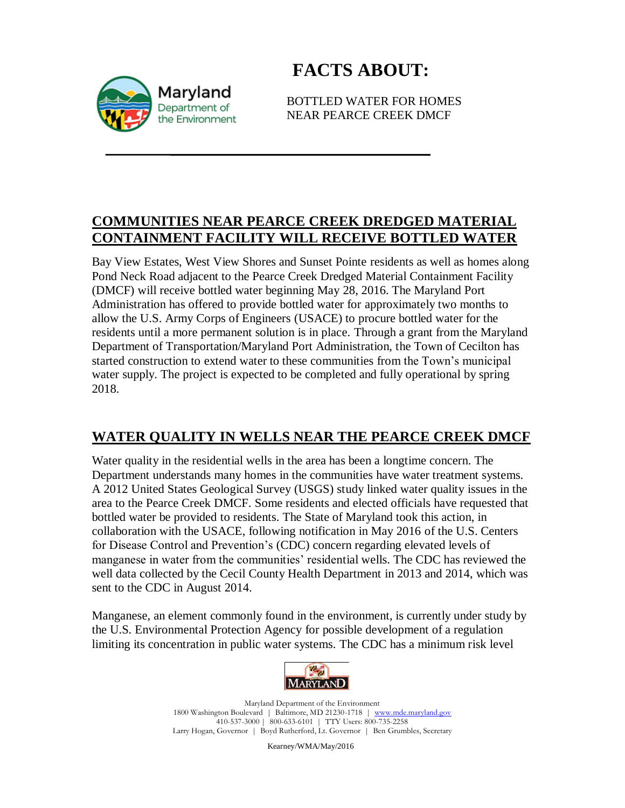### **FACTS ABOUT:**



BOTTLED WATER FOR HOMES NEAR PEARCE CREEK DMCF

### **COMMUNITIES NEAR PEARCE CREEK DREDGED MATERIAL CONTAINMENT FACILITY WILL RECEIVE BOTTLED WATER**

Bay View Estates, West View Shores and Sunset Pointe residents as well as homes along Pond Neck Road adjacent to the Pearce Creek Dredged Material Containment Facility (DMCF) will receive bottled water beginning May 28, 2016. The Maryland Port Administration has offered to provide bottled water for approximately two months to allow the U.S. Army Corps of Engineers (USACE) to procure bottled water for the residents until a more permanent solution is in place. Through a grant from the Maryland Department of Transportation/Maryland Port Administration, the Town of Cecilton has started construction to extend water to these communities from the Town's municipal water supply. The project is expected to be completed and fully operational by spring 2018.

### **WATER QUALITY IN WELLS NEAR THE PEARCE CREEK DMCF**

Water quality in the residential wells in the area has been a longtime concern. The Department understands many homes in the communities have water treatment systems. A 2012 United States Geological Survey (USGS) study linked water quality issues in the area to the Pearce Creek DMCF. Some residents and elected officials have requested that bottled water be provided to residents. The State of Maryland took this action, in collaboration with the USACE, following notification in May 2016 of the U.S. Centers for Disease Control and Prevention's (CDC) concern regarding elevated levels of manganese in water from the communities' residential wells. The CDC has reviewed the well data collected by the Cecil County Health Department in 2013 and 2014, which was sent to the CDC in August 2014.

Manganese, an element commonly found in the environment, is currently under study by the U.S. Environmental Protection Agency for possible development of a regulation limiting its concentration in public water systems. The CDC has a minimum risk level



Maryland Department of the Environment 1800 Washington Boulevard | Baltimore, MD 21230-1718 | www.mde.maryland.gov 410-537-3000 | 800-633-6101 | TTY Users: 800-735-2258 Larry Hogan, Governor | Boyd Rutherford, Lt. Governor | Ben Grumbles, Secretary

Kearney/WMA/May/2016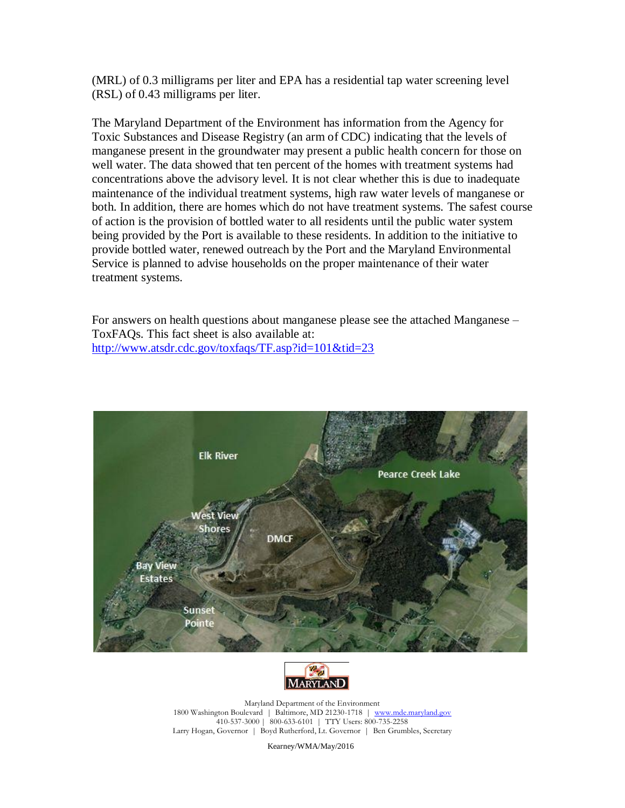(MRL) of 0.3 milligrams per liter and EPA has a residential tap water screening level (RSL) of 0.43 milligrams per liter.

The Maryland Department of the Environment has information from the Agency for Toxic Substances and Disease Registry (an arm of CDC) indicating that the levels of manganese present in the groundwater may present a public health concern for those on well water. The data showed that ten percent of the homes with treatment systems had concentrations above the advisory level. It is not clear whether this is due to inadequate maintenance of the individual treatment systems, high raw water levels of manganese or both. In addition, there are homes which do not have treatment systems. The safest course of action is the provision of bottled water to all residents until the public water system being provided by the Port is available to these residents. In addition to the initiative to provide bottled water, renewed outreach by the Port and the Maryland Environmental Service is planned to advise households on the proper maintenance of their water treatment systems.

For answers on health questions about manganese please see the attached Manganese – ToxFAQs. This fact sheet is also available at: <http://www.atsdr.cdc.gov/toxfaqs/TF.asp?id=101&tid=23>





Maryland Department of the Environment 1800 Washington Boulevard | Baltimore, MD 21230-1718 | www.mde.maryland.gov 410-537-3000 | 800-633-6101 | TTY Users: 800-735-2258 Larry Hogan, Governor | Boyd Rutherford, Lt. Governor | Ben Grumbles, Secretary

Kearney/WMA/May/2016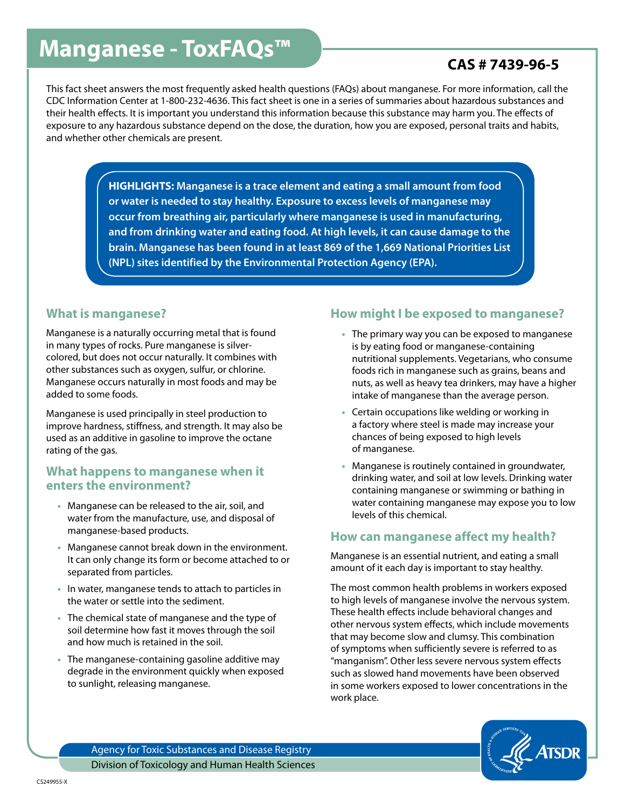# **Manganese - ToxFAQs™ Processe 6 CAS # 7439-96-5**

This fact sheet answers the most frequently asked health questions (FAQs) about manganese. For more information, call the CDC Information Center at 1-800-232-4636. This fact sheet is one in a series of summaries about hazardous substances and their health effects. It is important you understand this information because this substance may harm you. The effects of exposure to any hazardous substance depend on the dose, the duration, how you are exposed, personal traits and habits, and whether other chemicals are present.

> **HIGHLIGHTS: Manganese is a trace element and eating a small amount from food or water is needed to stay healthy. Exposure to excess levels of manganese may occur from breathing air, particularly where manganese is used in manufacturing, and from drinking water and eating food. At high levels, it can cause damage to the brain. Manganese has been found in at least 869 of the 1,669 National Priorities List (NPL) sites identified by the Environmental Protection Agency (EPA).**

### **What is manganese?**

Manganese is a naturally occurring metal that is found in many types of rocks. Pure manganese is silvercolored, but does not occur naturally. It combines with other substances such as oxygen, sulfur, or chlorine. Manganese occurs naturally in most foods and may be added to some foods.

Manganese is used principally in steel production to improve hardness, stiffness, and strength. It may also be used as an additive in gasoline to improve the octane rating of the gas.

### **What happens to manganese when it enters the environment?**

- **•** Manganese can be released to the air, soil, and water from the manufacture, use, and disposal of manganese-based products.
- **•** Manganese cannot break down in the environment. It can only change its form or become attached to or separated from particles.
- **•** In water, manganese tends to attach to particles in the water or settle into the sediment.
- **•** The chemical state of manganese and the type of soil determine how fast it moves through the soil and how much is retained in the soil.
- **•** The manganese-containing gasoline additive may degrade in the environment quickly when exposed to sunlight, releasing manganese.

### **How might I be exposed to manganese?**

- **•** The primary way you can be exposed to manganese is by eating food or manganese-containing nutritional supplements. Vegetarians, who consume foods rich in manganese such as grains, beans and nuts, as well as heavy tea drinkers, may have a higher intake of manganese than the average person.
- **•** Certain occupations like welding or working in a factory where steel is made may increase your chances of being exposed to high levels of manganese.
- **•** Manganese is routinely contained in groundwater, drinking water, and soil at low levels. Drinking water containing manganese or swimming or bathing in water containing manganese may expose you to low levels of this chemical.

### **How can manganese affect my health?**

Manganese is an essential nutrient, and eating a small amount of it each day is important to stay healthy.

The most common health problems in workers exposed to high levels of manganese involve the nervous system. These health effects include behavioral changes and other nervous system effects, which include movements that may become slow and clumsy. This combination of symptoms when sufficiently severe is referred to as "manganism". Other less severe nervous system effects such as slowed hand movements have been observed in some workers exposed to lower concentrations in the work place.



Agency for Toxic Substances and Disease Registry Division of Toxicology and Human Health Sciences